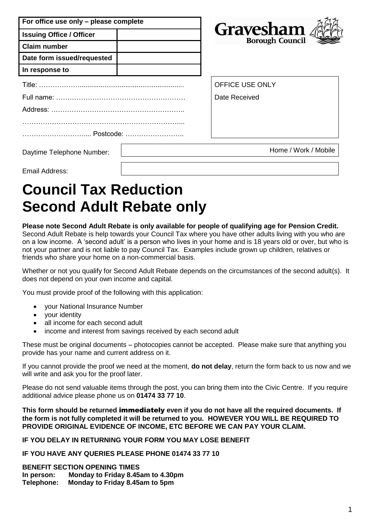| For office use only - please complete |                                            |
|---------------------------------------|--------------------------------------------|
| <b>Issuing Office / Officer</b>       | <b>Gravesham</b><br><b>Borough Council</b> |
| <b>Claim number</b>                   |                                            |
| Date form issued/requested            |                                            |
| In response to                        |                                            |
|                                       | <b>OFFICE USE ONLY</b>                     |
|                                       | Date Received                              |
|                                       |                                            |
|                                       |                                            |
| Postcode:                             |                                            |
| Daytime Telephone Number:             | Home / Work / Mobile                       |
| Fmail Address:                        |                                            |

# **Council Tax Reduction Second Adult Rebate only**

#### **Please note Second Adult Rebate is only available for people of qualifying age for Pension Credit.**

Second Adult Rebate is help towards your Council Tax where you have other adults living with you who are on a low income. A 'second adult' is a person who lives in your home and is 18 years old or over, but who is not your partner and is not liable to pay Council Tax. Examples include grown up children, relatives or friends who share your home on a non-commercial basis.

Whether or not you qualify for Second Adult Rebate depends on the circumstances of the second adult(s). It does not depend on your own income and capital.

You must provide proof of the following with this application:

- your National Insurance Number
- your identity
- all income for each second adult
- income and interest from savings received by each second adult

These must be original documents – photocopies cannot be accepted. Please make sure that anything you provide has your name and current address on it.

If you cannot provide the proof we need at the moment, **do not delay**, return the form back to us now and we will write and ask you for the proof later.

Please do not send valuable items through the post, you can bring them into the Civic Centre. If you require additional advice please phone us on **01474 33 77 10**.

**This form should be returned** immediately **even if you do not have all the required documents. If the form is not fully completed it will be returned to you. HOWEVER YOU WILL BE REQUIRED TO PROVIDE ORIGINAL EVIDENCE OF INCOME, ETC BEFORE WE CAN PAY YOUR CLAIM.**

**IF YOU DELAY IN RETURNING YOUR FORM YOU MAY LOSE BENEFIT**

**IF YOU HAVE ANY QUERIES PLEASE PHONE 01474 33 77 10**

**BENEFIT SECTION OPENING TIMES In person: Monday to Friday 8.45am to 4.30pm Telephone: Monday to Friday 8.45am to 5pm**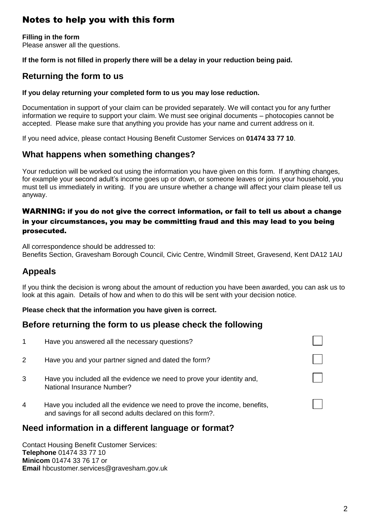# Notes to help you with this form

**Filling in the form** Please answer all the questions.

### **If the form is not filled in properly there will be a delay in your reduction being paid.**

### **Returning the form to us**

#### **If you delay returning your completed form to us you may lose reduction.**

Documentation in support of your claim can be provided separately. We will contact you for any further information we require to support your claim. We must see original documents – photocopies cannot be accepted. Please make sure that anything you provide has your name and current address on it.

If you need advice, please contact Housing Benefit Customer Services on **01474 33 77 10**.

### **What happens when something changes?**

Your reduction will be worked out using the information you have given on this form. If anything changes, for example your second adult's income goes up or down, or someone leaves or joins your household, you must tell us immediately in writing. If you are unsure whether a change will affect your claim please tell us anyway.

### WARNING: if you do not give the correct information, or fail to tell us about a change in your circumstances, you may be committing fraud and this may lead to you being prosecuted.

All correspondence should be addressed to: Benefits Section, Gravesham Borough Council, Civic Centre, Windmill Street, Gravesend, Kent DA12 1AU

### **Appeals**

If you think the decision is wrong about the amount of reduction you have been awarded, you can ask us to look at this again. Details of how and when to do this will be sent with your decision notice.

### **Please check that the information you have given is correct.**

### **Before returning the form to us please check the following**

|   | Also the function of the first that is a state of the second function $\alpha$                                                         |  |
|---|----------------------------------------------------------------------------------------------------------------------------------------|--|
| 4 | Have you included all the evidence we need to prove the income, benefits,<br>and savings for all second adults declared on this form?. |  |
| 3 | Have you included all the evidence we need to prove your identity and,<br><b>National Insurance Number?</b>                            |  |
| 2 | Have you and your partner signed and dated the form?                                                                                   |  |
| 1 | Have you answered all the necessary questions?                                                                                         |  |

### **Need information in a different language or format?**

Contact Housing Benefit Customer Services: **Telephone** 01474 33 77 10 **Minicom** 01474 33 76 17 or **Email** hbcustomer.services@gravesham.gov.uk  $\Box$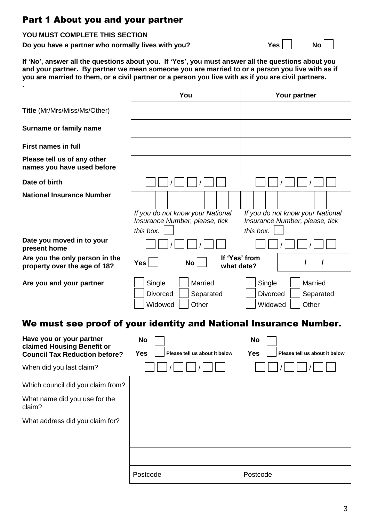### Part 1 About you and your partner

|  |  |  |  |  | YOU MUST COMPLETE THIS SECTION |
|--|--|--|--|--|--------------------------------|
|--|--|--|--|--|--------------------------------|

**Do you have a partner who normally lives with you?** The Most Computer of Most Computer of Most Computer Section 2011

**If 'No', answer all the questions about you. If 'Yes', you must answer all the questions about you and your partner. By partner we mean someone you are married to or a person you live with as if you are married to them, or a civil partner or a person you live with as if you are civil partners.**

|                                                                                                | You                                                                   | Your partner                                                          |
|------------------------------------------------------------------------------------------------|-----------------------------------------------------------------------|-----------------------------------------------------------------------|
| Title (Mr/Mrs/Miss/Ms/Other)                                                                   |                                                                       |                                                                       |
| Surname or family name                                                                         |                                                                       |                                                                       |
| <b>First names in full</b>                                                                     |                                                                       |                                                                       |
| Please tell us of any other<br>names you have used before                                      |                                                                       |                                                                       |
| Date of birth                                                                                  |                                                                       |                                                                       |
| <b>National Insurance Number</b>                                                               |                                                                       |                                                                       |
|                                                                                                | If you do not know your National                                      | If you do not know your National                                      |
|                                                                                                | Insurance Number, please, tick                                        | Insurance Number, please, tick                                        |
|                                                                                                | this box.                                                             | this box.                                                             |
| Date you moved in to your<br>present home                                                      |                                                                       |                                                                       |
| Are you the only person in the<br>property over the age of 18?                                 | If 'Yes' from<br><b>Yes</b><br>No l<br>what date?                     | $\prime$<br>I                                                         |
| Are you and your partner                                                                       | Single<br>Married<br><b>Divorced</b><br>Separated<br>Widowed<br>Other | Single<br>Married<br><b>Divorced</b><br>Separated<br>Widowed<br>Other |
|                                                                                                | We must see proof of your identity and National Insurance Number.     |                                                                       |
| Have you or your partner<br>claimed Housing Benefit or<br><b>Council Tax Reduction before?</b> | <b>No</b><br><b>Yes</b><br>Please tell us about it below              | <b>No</b><br>Yes<br>Please tell us about it below                     |
| When did you last claim?                                                                       |                                                                       |                                                                       |
| Which council did you claim from?                                                              |                                                                       |                                                                       |
| What name did you use for the<br>claim?                                                        |                                                                       |                                                                       |
| What address did you claim for?                                                                |                                                                       |                                                                       |
|                                                                                                |                                                                       |                                                                       |
|                                                                                                |                                                                       |                                                                       |
|                                                                                                | Postcode                                                              | Postcode                                                              |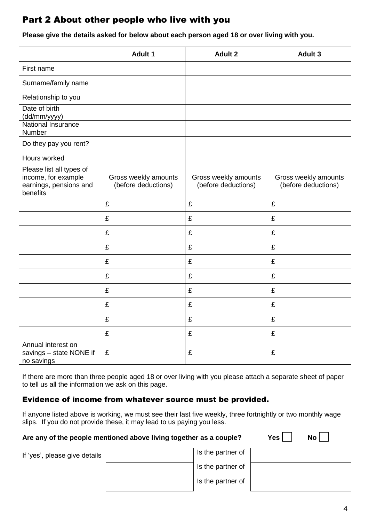### Part 2 About other people who live with you

**Please give the details asked for below about each person aged 18 or over living with you.**

|                                                                                       | <b>Adult 1</b>                              | <b>Adult 2</b>                              | Adult 3                                     |
|---------------------------------------------------------------------------------------|---------------------------------------------|---------------------------------------------|---------------------------------------------|
| First name                                                                            |                                             |                                             |                                             |
| Surname/family name                                                                   |                                             |                                             |                                             |
| Relationship to you                                                                   |                                             |                                             |                                             |
| Date of birth<br>(dd/mm/yyyy)<br>National Insurance<br>Number                         |                                             |                                             |                                             |
| Do they pay you rent?                                                                 |                                             |                                             |                                             |
| Hours worked                                                                          |                                             |                                             |                                             |
| Please list all types of<br>income, for example<br>earnings, pensions and<br>benefits | Gross weekly amounts<br>(before deductions) | Gross weekly amounts<br>(before deductions) | Gross weekly amounts<br>(before deductions) |
|                                                                                       | £                                           | £                                           | £                                           |
|                                                                                       | £                                           | £                                           | £                                           |
|                                                                                       | £                                           | £                                           | £                                           |
|                                                                                       | £                                           | £                                           | £                                           |
|                                                                                       | £                                           | £                                           | £                                           |
|                                                                                       | £                                           | £                                           | £                                           |
|                                                                                       | £                                           | £                                           | £                                           |
|                                                                                       | £                                           | £                                           | £                                           |
|                                                                                       | £                                           | £                                           | £                                           |
|                                                                                       | £                                           | £                                           | £                                           |
| Annual interest on<br>savings - state NONE if<br>no savings                           | £                                           | £                                           | £                                           |

If there are more than three people aged 18 or over living with you please attach a separate sheet of paper to tell us all the information we ask on this page.

### Evidence of income from whatever source must be provided.

If anyone listed above is working, we must see their last five weekly, three fortnightly or two monthly wage slips. If you do not provide these, it may lead to us paying you less.

#### Are any of the people mentioned above living together as a couple?

| Yes. | No l |  |
|------|------|--|
|      |      |  |

| If 'yes', please give details | Is the partner of |
|-------------------------------|-------------------|
|                               | Is the partner of |
|                               | Is the partner of |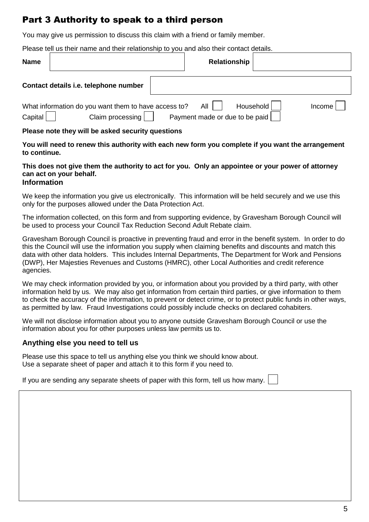# Part 3 Authority to speak to a third person

You may give us permission to discuss this claim with a friend or family member.

Please tell us their name and their relationship to you and also their contact details.

| <b>Name</b> |                                                                          | <b>Relationship</b>                   |           |        |
|-------------|--------------------------------------------------------------------------|---------------------------------------|-----------|--------|
|             | Contact details i.e. telephone number                                    |                                       |           |        |
| Capital     | What information do you want them to have access to?<br>Claim processing | All<br>Payment made or due to be paid | Household | Income |

#### **Please note they will be asked security questions**

**You will need to renew this authority with each new form you complete if you want the arrangement to continue.**

#### **This does not give them the authority to act for you. Only an appointee or your power of attorney can act on your behalf. Information**

We keep the information you give us electronically. This information will be held securely and we use this only for the purposes allowed under the Data Protection Act.

The information collected, on this form and from supporting evidence, by Gravesham Borough Council will be used to process your Council Tax Reduction Second Adult Rebate claim.

Gravesham Borough Council is proactive in preventing fraud and error in the benefit system. In order to do this the Council will use the information you supply when claiming benefits and discounts and match this data with other data holders. This includes Internal Departments, The Department for Work and Pensions (DWP), Her Majesties Revenues and Customs (HMRC), other Local Authorities and credit reference agencies.

We may check information provided by you, or information about you provided by a third party, with other information held by us. We may also get information from certain third parties, or give information to them to check the accuracy of the information, to prevent or detect crime, or to protect public funds in other ways, as permitted by law. Fraud Investigations could possibly include checks on declared cohabiters.

We will not disclose information about you to anyone outside Gravesham Borough Council or use the information about you for other purposes unless law permits us to.

### **Anything else you need to tell us**

Please use this space to tell us anything else you think we should know about. Use a separate sheet of paper and attach it to this form if you need to.

If you are sending any separate sheets of paper with this form, tell us how many.